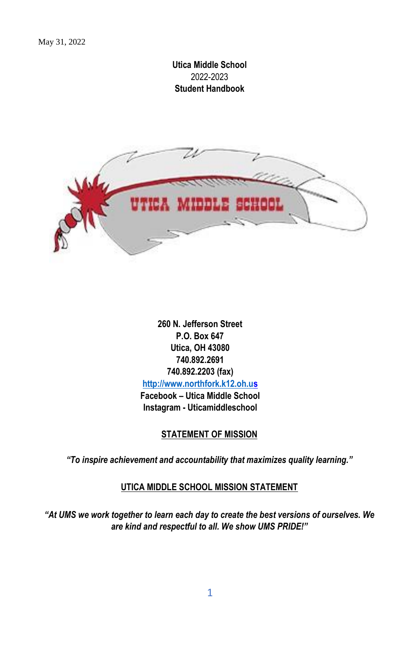## **Utica Middle School** 2022-2023 **Student Handbook**



**260 N. Jefferson Street P.O. Box 647 Utica, OH 43080 740.892.2691 740.892.2203 (fax) [http://www.northfork.k12.oh.u](http://www.northfork.k12.oh.u/)[s](http://www.northfork.k12.oh.us/) Facebook – Utica Middle School Instagram - Uticamiddleschool**

## **STATEMENT OF MISSION**

*"To inspire achievement and accountability that maximizes quality learning."* 

## **UTICA MIDDLE SCHOOL MISSION STATEMENT**

*"At UMS we work together to learn each day to create the best versions of ourselves. We are kind and respectful to all. We show UMS PRIDE!"*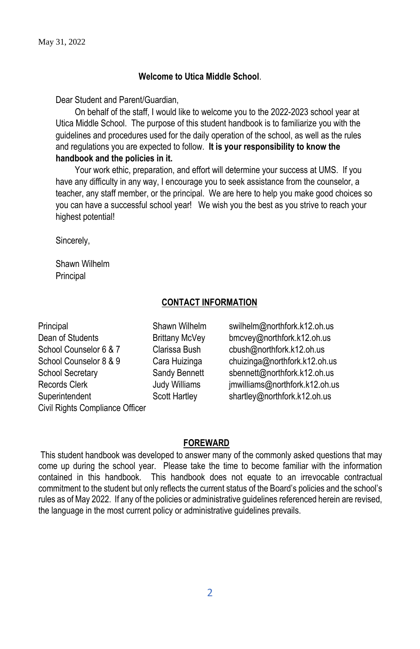### **Welcome to Utica Middle School**.

Dear Student and Parent/Guardian,

On behalf of the staff, I would like to welcome you to the 2022-2023 school year at Utica Middle School. The purpose of this student handbook is to familiarize you with the guidelines and procedures used for the daily operation of the school, as well as the rules and regulations you are expected to follow. **It is your responsibility to know the handbook and the policies in it.** 

Your work ethic, preparation, and effort will determine your success at UMS. If you have any difficulty in any way, I encourage you to seek assistance from the counselor, a teacher, any staff member, or the principal. We are here to help you make good choices so you can have a successful school year! We wish you the best as you strive to reach your highest potential!

Sincerely,

Shawn Wilhelm Principal

## **CONTACT INFORMATION**

Principal Shawn Wilhelm swilhelm@northfork.k12.oh.us Dean of Students **Brittany McVey** bmcvey@northfork.k12.oh.us School Counselor 6 & 7 Clarissa Bush cbush@northfork.k12.oh.us Superintendent Scott Hartley shartley@northfork.k12.oh.us Civil Rights Compliance Officer

School Counselor 8 & 9 Cara Huizinga chuizinga@northfork.k12.oh.us School Secretary Sandy Bennett sbennett@northfork.k12.oh.us Records Clerk **Internal Clerk** Judy Williams imwilliams@northfork.k12.oh.us

## **FOREWARD**

This student handbook was developed to answer many of the commonly asked questions that may come up during the school year. Please take the time to become familiar with the information contained in this handbook. This handbook does not equate to an irrevocable contractual commitment to the student but only reflects the current status of the Board's policies and the school's rules as of May 2022. If any of the policies or administrative guidelines referenced herein are revised, the language in the most current policy or administrative guidelines prevails.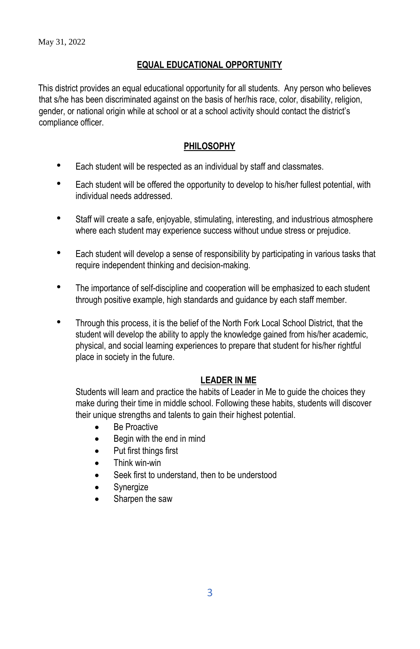## **EQUAL EDUCATIONAL OPPORTUNITY**

This district provides an equal educational opportunity for all students. Any person who believes that s/he has been discriminated against on the basis of her/his race, color, disability, religion, gender, or national origin while at school or at a school activity should contact the district's compliance officer.

## **PHILOSOPHY**

- Each student will be respected as an individual by staff and classmates.
- Each student will be offered the opportunity to develop to his/her fullest potential, with individual needs addressed.
- Staff will create a safe, enjoyable, stimulating, interesting, and industrious atmosphere where each student may experience success without undue stress or prejudice.
- Each student will develop a sense of responsibility by participating in various tasks that require independent thinking and decision-making.
- The importance of self-discipline and cooperation will be emphasized to each student through positive example, high standards and guidance by each staff member.
- Through this process, it is the belief of the North Fork Local School District, that the student will develop the ability to apply the knowledge gained from his/her academic, physical, and social learning experiences to prepare that student for his/her rightful place in society in the future.

## **LEADER IN ME**

Students will learn and practice the habits of Leader in Me to guide the choices they make during their time in middle school. Following these habits, students will discover their unique strengths and talents to gain their highest potential.

- **Be Proactive**
- Begin with the end in mind
- Put first things first
- Think win-win
- Seek first to understand, then to be understood
- Synergize
- Sharpen the saw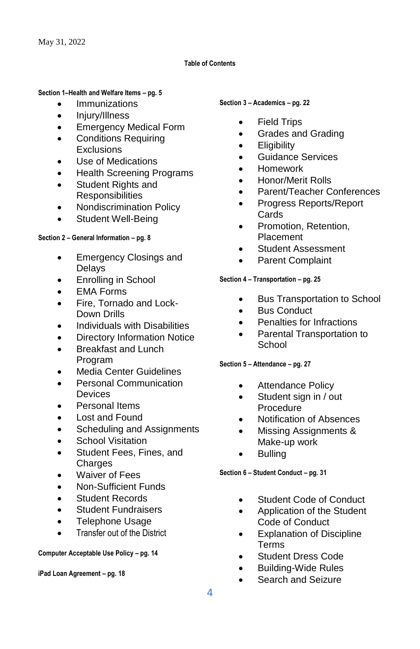#### **Table of Contents**

#### **Section 1–Health and Welfare Items – pg. 5**

- Immunizations
- Injury/Illness
- Emergency Medical Form
- Conditions Requiring Exclusions
- Use of Medications
- Health Screening Programs
- Student Rights and **Responsibilities**
- Nondiscrimination Policy
- Student Well-Being

#### **Section 2 – General Information – pg. 8**

- Emergency Closings and Delays
- Enrolling in School
- **EMA Forms**
- Fire, Tornado and Lock-Down Drills
- Individuals with Disabilities
- Directory Information Notice
- Breakfast and Lunch Program
- Media Center Guidelines
- Personal Communication **Devices**
- Personal Items
- Lost and Found
- Scheduling and Assignments
- School Visitation
- Student Fees, Fines, and Charges
- Waiver of Fees
- Non-Sufficient Funds
- Student Records
- **Student Fundraisers**
- Telephone Usage
- Transfer out of the District

#### **Computer Acceptable Use Policy – pg. 14**

**iPad Loan Agreement – pg. 18**

#### **Section 3 – Academics – pg. 22**

- Field Trips
- Grades and Grading
- **Eligibility**
- Guidance Services
- Homework
- Honor/Merit Rolls
- Parent/Teacher Conferences
- Progress Reports/Report Cards
- Promotion, Retention, Placement
- Student Assessment
- Parent Complaint

#### **Section 4 – Transportation – pg. 25**

- Bus Transportation to School
- **Bus Conduct**
- Penalties for Infractions
- Parental Transportation to School
- **Section 5 – Attendance – pg. 27**
	- Attendance Policy
	- Student sign in / out Procedure
	- Notification of Absences
	- Missing Assignments & Make-up work
	- Bulling

**Section 6 – Student Conduct – pg. 31**

- Student Code of Conduct
- Application of the Student Code of Conduct
- **Explanation of Discipline** Terms
- Student Dress Code
- Building-Wide Rules
- Search and Seizure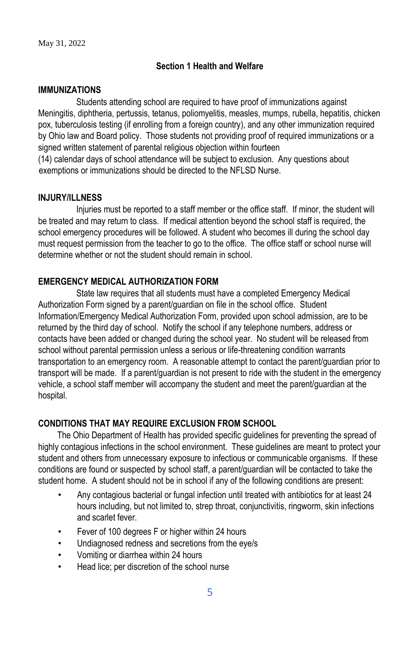## **Section 1 Health and Welfare**

#### **IMMUNIZATIONS**

Students attending school are required to have proof of immunizations against Meningitis, diphtheria, pertussis, tetanus, poliomyelitis, measles, mumps, rubella, hepatitis, chicken pox, tuberculosis testing (if enrolling from a foreign country), and any other immunization required by Ohio law and Board policy. Those students not providing proof of required immunizations or a signed written statement of parental religious objection within fourteen

(14) calendar days of school attendance will be subject to exclusion. Any questions about exemptions or immunizations should be directed to the NFLSD Nurse.

#### **INJURY/ILLNESS**

Injuries must be reported to a staff member or the office staff. If minor, the student will be treated and may return to class. If medical attention beyond the school staff is required, the school emergency procedures will be followed. A student who becomes ill during the school day must request permission from the teacher to go to the office. The office staff or school nurse will determine whether or not the student should remain in school.

## **EMERGENCY MEDICAL AUTHORIZATION FORM**

State law requires that all students must have a completed Emergency Medical Authorization Form signed by a parent/guardian on file in the school office. Student Information/Emergency Medical Authorization Form, provided upon school admission, are to be returned by the third day of school. Notify the school if any telephone numbers, address or contacts have been added or changed during the school year. No student will be released from school without parental permission unless a serious or life-threatening condition warrants transportation to an emergency room. A reasonable attempt to contact the parent/guardian prior to transport will be made. If a parent/guardian is not present to ride with the student in the emergency vehicle, a school staff member will accompany the student and meet the parent/guardian at the hospital.

## **CONDITIONS THAT MAY REQUIRE EXCLUSION FROM SCHOOL**

The Ohio Department of Health has provided specific guidelines for preventing the spread of highly contagious infections in the school environment. These guidelines are meant to protect your student and others from unnecessary exposure to infectious or communicable organisms. If these conditions are found or suspected by school staff, a parent/guardian will be contacted to take the student home. A student should not be in school if any of the following conditions are present:

- Any contagious bacterial or fungal infection until treated with antibiotics for at least 24 hours including, but not limited to, strep throat, conjunctivitis, ringworm, skin infections and scarlet fever.
- Fever of 100 degrees F or higher within 24 hours
- Undiagnosed redness and secretions from the eye/s
- Vomiting or diarrhea within 24 hours
- Head lice; per discretion of the school nurse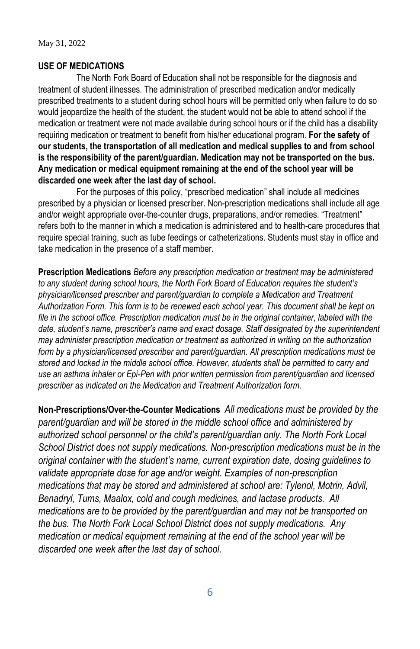#### **USE OF MEDICATIONS**

The North Fork Board of Education shall not be responsible for the diagnosis and treatment of student illnesses. The administration of prescribed medication and/or medically prescribed treatments to a student during school hours will be permitted only when failure to do so would jeopardize the health of the student, the student would not be able to attend school if the medication or treatment were not made available during school hours or if the child has a disability requiring medication or treatment to benefit from his/her educational program. **For the safety of our students, the transportation of all medication and medical supplies to and from school is the responsibility of the parent/guardian. Medication may not be transported on the bus. Any medication or medical equipment remaining at the end of the school year will be discarded one week after the last day of school.** 

For the purposes of this policy, "prescribed medication" shall include all medicines prescribed by a physician or licensed prescriber. Non-prescription medications shall include all age and/or weight appropriate over-the-counter drugs, preparations, and/or remedies. "Treatment" refers both to the manner in which a medication is administered and to health-care procedures that require special training, such as tube feedings or catheterizations. Students must stay in office and take medication in the presence of a staff member.

**Prescription Medications** *Before any prescription medication or treatment may be administered to any student during school hours, the North Fork Board of Education requires the student's physician/licensed prescriber and parent/guardian to complete a Medication and Treatment Authorization Form. This form is to be renewed each school year. This document shall be kept on file in the school office. Prescription medication must be in the original container, labeled with the date, student's name, prescriber's name and exact dosage. Staff designated by the superintendent may administer prescription medication or treatment as authorized in writing on the authorization form by a physician/licensed prescriber and parent/guardian. All prescription medications must be stored and locked in the middle school office. However, students shall be permitted to carry and use an asthma inhaler or Epi-Pen with prior written permission from parent/guardian and licensed prescriber as indicated on the Medication and Treatment Authorization form.*

**Non-Prescriptions/Over-the-Counter Medications** *All medications must be provided by the parent/guardian and will be stored in the middle school office and administered by authorized school personnel or the child's parent/guardian only. The North Fork Local School District does not supply medications. Non-prescription medications must be in the original container with the student's name, current expiration date, dosing guidelines to validate appropriate dose for age and/or weight. Examples of non-prescription medications that may be stored and administered at school are: Tylenol, Motrin, Advil, Benadryl, Tums, Maalox, cold and cough medicines, and lactase products. All medications are to be provided by the parent/guardian and may not be transported on the bus. The North Fork Local School District does not supply medications. Any medication or medical equipment remaining at the end of the school year will be discarded one week after the last day of school.*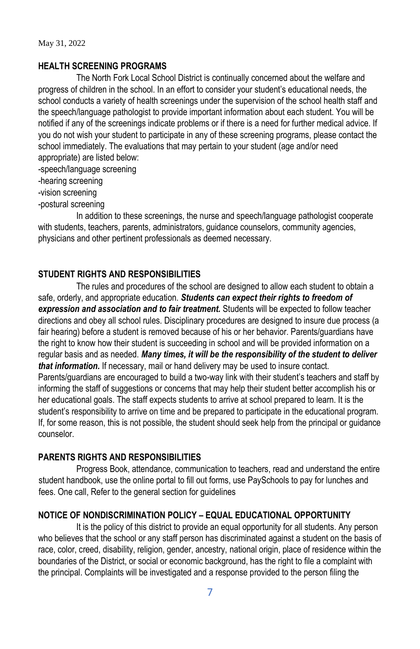#### **HEALTH SCREENING PROGRAMS**

The North Fork Local School District is continually concerned about the welfare and progress of children in the school. In an effort to consider your student's educational needs, the school conducts a variety of health screenings under the supervision of the school health staff and the speech/language pathologist to provide important information about each student. You will be notified if any of the screenings indicate problems or if there is a need for further medical advice. If you do not wish your student to participate in any of these screening programs, please contact the school immediately. The evaluations that may pertain to your student (age and/or need appropriate) are listed below:

-speech/language screening

-hearing screening

-vision screening

-postural screening

In addition to these screenings, the nurse and speech/language pathologist cooperate with students, teachers, parents, administrators, guidance counselors, community agencies, physicians and other pertinent professionals as deemed necessary.

## **STUDENT RIGHTS AND RESPONSIBILITIES**

The rules and procedures of the school are designed to allow each student to obtain a safe, orderly, and appropriate education. *Students can expect their rights to freedom of expression and association and to fair treatment.* Students will be expected to follow teacher directions and obey all school rules. Disciplinary procedures are designed to insure due process (a fair hearing) before a student is removed because of his or her behavior. Parents/guardians have the right to know how their student is succeeding in school and will be provided information on a regular basis and as needed. *Many times, it will be the responsibility of the student to deliver that information.* If necessary, mail or hand delivery may be used to insure contact. Parents/guardians are encouraged to build a two-way link with their student's teachers and staff by informing the staff of suggestions or concerns that may help their student better accomplish his or her educational goals. The staff expects students to arrive at school prepared to learn. It is the student's responsibility to arrive on time and be prepared to participate in the educational program. If, for some reason, this is not possible, the student should seek help from the principal or guidance counselor.

#### **PARENTS RIGHTS AND RESPONSIBILITIES**

Progress Book, attendance, communication to teachers, read and understand the entire student handbook, use the online portal to fill out forms, use PaySchools to pay for lunches and fees. One call, Refer to the general section for guidelines

## **NOTICE OF NONDISCRIMINATION POLICY – EQUAL EDUCATIONAL OPPORTUNITY**

It is the policy of this district to provide an equal opportunity for all students. Any person who believes that the school or any staff person has discriminated against a student on the basis of race, color, creed, disability, religion, gender, ancestry, national origin, place of residence within the boundaries of the District, or social or economic background, has the right to file a complaint with the principal. Complaints will be investigated and a response provided to the person filing the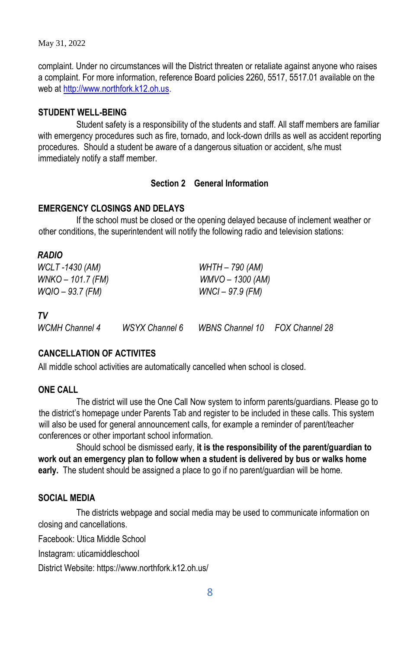complaint. Under no circumstances will the District threaten or retaliate against anyone who raises a complaint. For more information, reference Board policies 2260, 5517, 5517.01 available on the web at [http://www.northfork.k12.oh.us.](http://www.northfork.k12.oh.us/)

#### **STUDENT WELL-BEING**

Student safety is a responsibility of the students and staff. All staff members are familiar with emergency procedures such as fire, tornado, and lock-down drills as well as accident reporting procedures. Should a student be aware of a dangerous situation or accident, s/he must immediately notify a staff member.

#### **Section 2 General Information**

#### **EMERGENCY CLOSINGS AND DELAYS**

If the school must be closed or the opening delayed because of inclement weather or other conditions, the superintendent will notify the following radio and television stations:

| WCLT -1430 (AM)<br>WNKO – 101.7 (FM) |                       | WHTH – 790 (AM)<br>$WMVO - 1300 (AM)$ |  |
|--------------------------------------|-----------------------|---------------------------------------|--|
| WQIO – 93.7 (FM)                     |                       | WNCI - 97.9 (FM)                      |  |
| TV<br><b>WCMH Channel 4</b>          | <b>WSYX Channel 6</b> | WBNS Channel 10 FOX Channel 28        |  |

# **CANCELLATION OF ACTIVITES**

All middle school activities are automatically cancelled when school is closed.

#### **ONE CALL**

*RADIO* 

The district will use the One Call Now system to inform parents/guardians. Please go to the district's homepage under Parents Tab and register to be included in these calls. This system will also be used for general announcement calls, for example a reminder of parent/teacher conferences or other important school information.

Should school be dismissed early, **it is the responsibility of the parent/guardian to work out an emergency plan to follow when a student is delivered by bus or walks home early.** The student should be assigned a place to go if no parent/guardian will be home.

## **SOCIAL MEDIA**

The districts webpage and social media may be used to communicate information on closing and cancellations.

Facebook: Utica Middle School

Instagram: uticamiddleschool

District Website: https://www.northfork.k12.oh.us/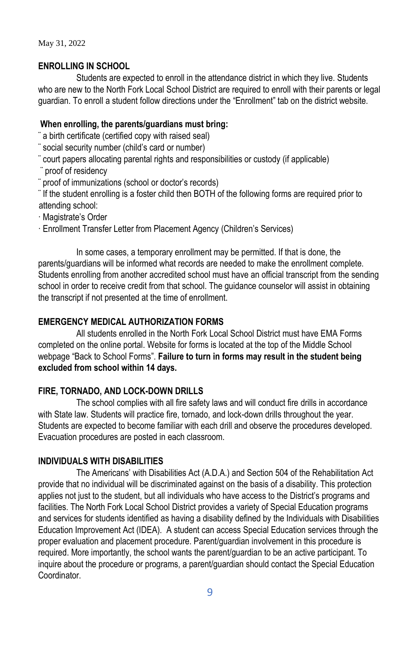## **ENROLLING IN SCHOOL**

Students are expected to enroll in the attendance district in which they live. Students who are new to the North Fork Local School District are required to enroll with their parents or legal guardian. To enroll a student follow directions under the "Enrollment" tab on the district website.

## **When enrolling, the parents/guardians must bring:**

¨ a birth certificate (certified copy with raised seal)

- ¨ social security number (child's card or number)
- ¨ court papers allocating parental rights and responsibilities or custody (if applicable)
- proof of residency

¨ proof of immunizations (school or doctor's records)

¨ If the student enrolling is a foster child then BOTH of the following forms are required prior to attending school:

· Magistrate's Order

· Enrollment Transfer Letter from Placement Agency (Children's Services)

In some cases, a temporary enrollment may be permitted. If that is done, the parents/guardians will be informed what records are needed to make the enrollment complete. Students enrolling from another accredited school must have an official transcript from the sending school in order to receive credit from that school. The guidance counselor will assist in obtaining the transcript if not presented at the time of enrollment.

## **EMERGENCY MEDICAL AUTHORIZATION FORMS**

All students enrolled in the North Fork Local School District must have EMA Forms completed on the online portal. Website for forms is located at the top of the Middle School webpage "Back to School Forms". **Failure to turn in forms may result in the student being excluded from school within 14 days.**

## **FIRE, TORNADO, AND LOCK-DOWN DRILLS**

The school complies with all fire safety laws and will conduct fire drills in accordance with State law. Students will practice fire, tornado, and lock-down drills throughout the year. Students are expected to become familiar with each drill and observe the procedures developed. Evacuation procedures are posted in each classroom.

## **INDIVIDUALS WITH DISABILITIES**

The Americans' with Disabilities Act (A.D.A.) and Section 504 of the Rehabilitation Act provide that no individual will be discriminated against on the basis of a disability. This protection applies not just to the student, but all individuals who have access to the District's programs and facilities. The North Fork Local School District provides a variety of Special Education programs and services for students identified as having a disability defined by the Individuals with Disabilities Education Improvement Act (IDEA). A student can access Special Education services through the proper evaluation and placement procedure. Parent/guardian involvement in this procedure is required. More importantly, the school wants the parent/guardian to be an active participant. To inquire about the procedure or programs, a parent/guardian should contact the Special Education **Coordinator**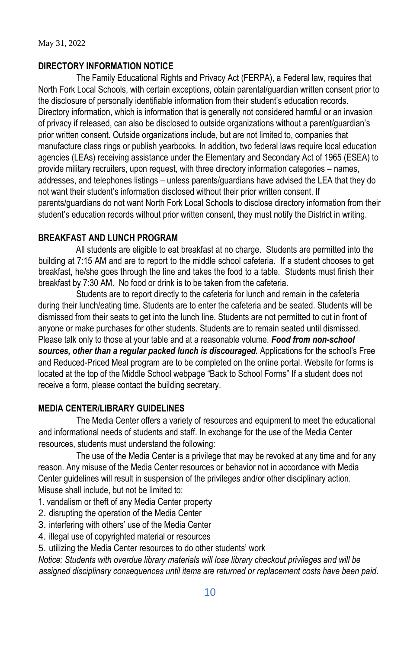## **DIRECTORY INFORMATION NOTICE**

The Family Educational Rights and Privacy Act (FERPA), a Federal law, requires that North Fork Local Schools, with certain exceptions, obtain parental/guardian written consent prior to the disclosure of personally identifiable information from their student's education records. Directory information, which is information that is generally not considered harmful or an invasion of privacy if released, can also be disclosed to outside organizations without a parent/guardian's prior written consent. Outside organizations include, but are not limited to, companies that manufacture class rings or publish yearbooks. In addition, two federal laws require local education agencies (LEAs) receiving assistance under the Elementary and Secondary Act of 1965 (ESEA) to provide military recruiters, upon request, with three directory information categories – names, addresses, and telephones listings – unless parents/guardians have advised the LEA that they do not want their student's information disclosed without their prior written consent. If parents/guardians do not want North Fork Local Schools to disclose directory information from their student's education records without prior written consent, they must notify the District in writing.

## **BREAKFAST AND LUNCH PROGRAM**

All students are eligible to eat breakfast at no charge. Students are permitted into the building at 7:15 AM and are to report to the middle school cafeteria. If a student chooses to get breakfast, he/she goes through the line and takes the food to a table. Students must finish their breakfast by 7:30 AM. No food or drink is to be taken from the cafeteria.

Students are to report directly to the cafeteria for lunch and remain in the cafeteria during their lunch/eating time. Students are to enter the cafeteria and be seated. Students will be dismissed from their seats to get into the lunch line. Students are not permitted to cut in front of anyone or make purchases for other students. Students are to remain seated until dismissed. Please talk only to those at your table and at a reasonable volume. *Food from non-school* sources, other than a regular packed lunch is discouraged. Applications for the school's Free and Reduced-Priced Meal program are to be completed on the online portal. Website for forms is located at the top of the Middle School webpage "Back to School Forms" If a student does not receive a form, please contact the building secretary.

## **MEDIA CENTER/LIBRARY GUIDELINES**

The Media Center offers a variety of resources and equipment to meet the educational and informational needs of students and staff. In exchange for the use of the Media Center resources, students must understand the following:

The use of the Media Center is a privilege that may be revoked at any time and for any reason. Any misuse of the Media Center resources or behavior not in accordance with Media Center guidelines will result in suspension of the privileges and/or other disciplinary action. Misuse shall include, but not be limited to:

- 1. vandalism or theft of any Media Center property
- 2. disrupting the operation of the Media Center
- 3. interfering with others' use of the Media Center
- 4. illegal use of copyrighted material or resources
- 5. utilizing the Media Center resources to do other students' work

*Notice: Students with overdue library materials will lose library checkout privileges and will be assigned disciplinary consequences until items are returned or replacement costs have been paid.*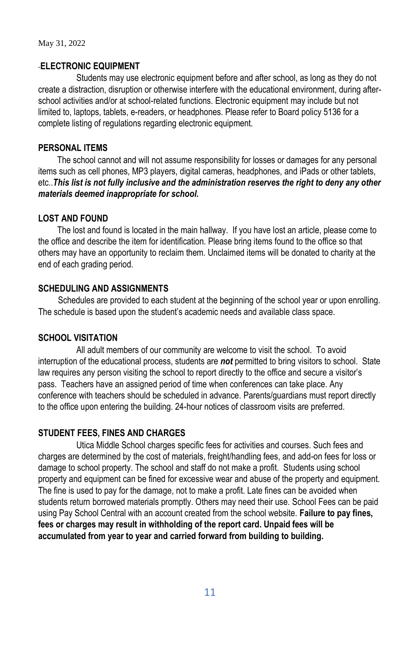## **ELECTRONIC EQUIPMENT**

Students may use electronic equipment before and after school, as long as they do not create a distraction, disruption or otherwise interfere with the educational environment, during afterschool activities and/or at school-related functions. Electronic equipment may include but not limited to, laptops, tablets, e-readers, or headphones. Please refer to Board policy 5136 for a complete listing of regulations regarding electronic equipment.

## **PERSONAL ITEMS**

The school cannot and will not assume responsibility for losses or damages for any personal items such as cell phones, MP3 players, digital cameras, headphones, and iPads or other tablets, etc..*This list is not fully inclusive and the administration reserves the right to deny any other materials deemed inappropriate for school.* 

#### **LOST AND FOUND**

The lost and found is located in the main hallway. If you have lost an article, please come to the office and describe the item for identification. Please bring items found to the office so that others may have an opportunity to reclaim them. Unclaimed items will be donated to charity at the end of each grading period.

## **SCHEDULING AND ASSIGNMENTS**

Schedules are provided to each student at the beginning of the school year or upon enrolling. The schedule is based upon the student's academic needs and available class space.

### **SCHOOL VISITATION**

All adult members of our community are welcome to visit the school. To avoid interruption of the educational process, students are *not* permitted to bring visitors to school. State law requires any person visiting the school to report directly to the office and secure a visitor's pass. Teachers have an assigned period of time when conferences can take place. Any conference with teachers should be scheduled in advance. Parents/guardians must report directly to the office upon entering the building. 24-hour notices of classroom visits are preferred.

#### **STUDENT FEES, FINES AND CHARGES**

Utica Middle School charges specific fees for activities and courses. Such fees and charges are determined by the cost of materials, freight/handling fees, and add-on fees for loss or damage to school property. The school and staff do not make a profit. Students using school property and equipment can be fined for excessive wear and abuse of the property and equipment. The fine is used to pay for the damage, not to make a profit. Late fines can be avoided when students return borrowed materials promptly. Others may need their use. School Fees can be paid using Pay School Central with an account created from the school website. **Failure to pay fines, fees or charges may result in withholding of the report card. Unpaid fees will be accumulated from year to year and carried forward from building to building.**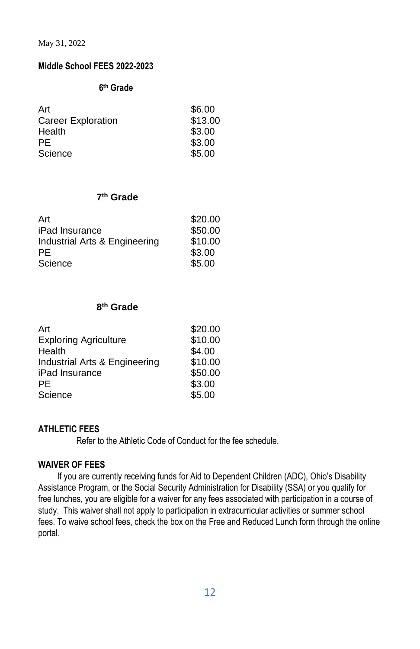## **Middle School FEES 2022-2023**

#### **6 th Grade**

| Art                       | \$6.00  |
|---------------------------|---------|
| <b>Career Exploration</b> | \$13.00 |
| Health                    | \$3.00  |
| PF                        | \$3.00  |
| Science                   | \$5.00  |

#### **7 th Grade**

| Art                           | \$20.00 |
|-------------------------------|---------|
| iPad Insurance                | \$50.00 |
| Industrial Arts & Engineering | \$10.00 |
| PF                            | \$3.00  |
| Science                       | \$5.00  |

#### **8 th Grade**

| Art                           | \$20.00 |
|-------------------------------|---------|
| <b>Exploring Agriculture</b>  | \$10.00 |
| Health                        | \$4.00  |
| Industrial Arts & Engineering | \$10.00 |
| iPad Insurance                | \$50.00 |
| PF.                           | \$3.00  |
| Science                       | \$5.00  |
|                               |         |

## **ATHLETIC FEES**

Refer to the Athletic Code of Conduct for the fee schedule.

#### **WAIVER OF FEES**

If you are currently receiving funds for Aid to Dependent Children (ADC), Ohio's Disability Assistance Program, or the Social Security Administration for Disability (SSA) or you qualify for free lunches, you are eligible for a waiver for any fees associated with participation in a course of study. This waiver shall not apply to participation in extracurricular activities or summer school fees. To waive school fees, check the box on the Free and Reduced Lunch form through the online portal.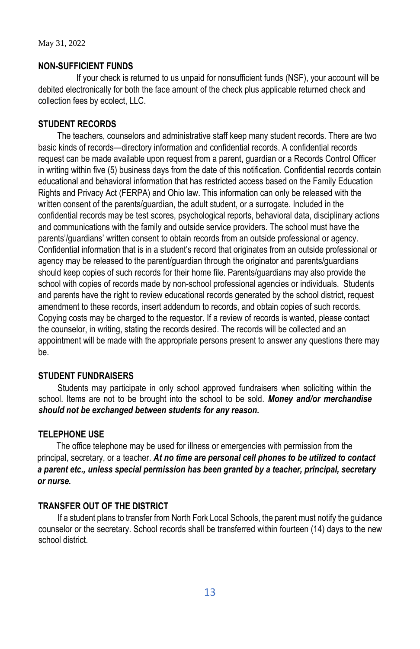## **NON-SUFFICIENT FUNDS**

If your check is returned to us unpaid for nonsufficient funds (NSF), your account will be debited electronically for both the face amount of the check plus applicable returned check and collection fees by ecolect, LLC.

## **STUDENT RECORDS**

The teachers, counselors and administrative staff keep many student records. There are two basic kinds of records—directory information and confidential records. A confidential records request can be made available upon request from a parent, guardian or a Records Control Officer in writing within five (5) business days from the date of this notification. Confidential records contain educational and behavioral information that has restricted access based on the Family Education Rights and Privacy Act (FERPA) and Ohio law. This information can only be released with the written consent of the parents/guardian, the adult student, or a surrogate. Included in the confidential records may be test scores, psychological reports, behavioral data, disciplinary actions and communications with the family and outside service providers. The school must have the parents'/guardians' written consent to obtain records from an outside professional or agency. Confidential information that is in a student's record that originates from an outside professional or agency may be released to the parent/guardian through the originator and parents/guardians should keep copies of such records for their home file. Parents/guardians may also provide the school with copies of records made by non-school professional agencies or individuals. Students and parents have the right to review educational records generated by the school district, request amendment to these records, insert addendum to records, and obtain copies of such records. Copying costs may be charged to the requestor. If a review of records is wanted, please contact the counselor, in writing, stating the records desired. The records will be collected and an appointment will be made with the appropriate persons present to answer any questions there may be.

## **STUDENT FUNDRAISERS**

Students may participate in only school approved fundraisers when soliciting within the school. Items are not to be brought into the school to be sold. *Money and/or merchandise should not be exchanged between students for any reason.* 

## **TELEPHONE USE**

The office telephone may be used for illness or emergencies with permission from the principal, secretary, or a teacher. *At no time are personal cell phones to be utilized to contact a parent etc., unless special permission has been granted by a teacher, principal, secretary or nurse.* 

## **TRANSFER OUT OF THE DISTRICT**

If a student plans to transfer from North Fork Local Schools, the parent must notify the guidance counselor or the secretary. School records shall be transferred within fourteen (14) days to the new school district.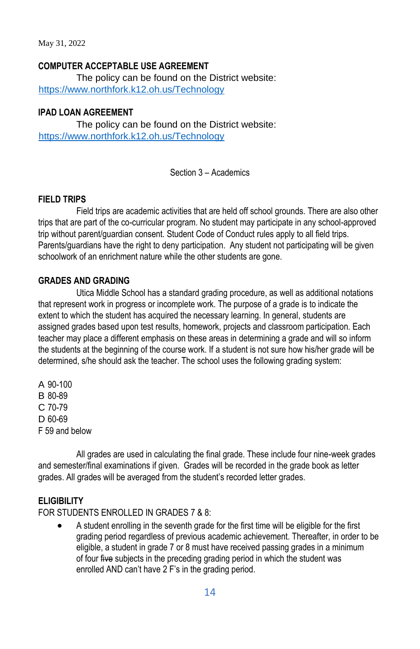#### **COMPUTER ACCEPTABLE USE AGREEMENT**

The policy can be found on the District website: <https://www.northfork.k12.oh.us/Technology>

## **IPAD LOAN AGREEMENT**

The policy can be found on the District website: <https://www.northfork.k12.oh.us/Technology>

Section 3 – Academics

#### **FIELD TRIPS**

Field trips are academic activities that are held off school grounds. There are also other trips that are part of the co-curricular program. No student may participate in any school-approved trip without parent/guardian consent. Student Code of Conduct rules apply to all field trips. Parents/guardians have the right to deny participation. Any student not participating will be given schoolwork of an enrichment nature while the other students are gone.

## **GRADES AND GRADING**

Utica Middle School has a standard grading procedure, as well as additional notations that represent work in progress or incomplete work. The purpose of a grade is to indicate the extent to which the student has acquired the necessary learning. In general, students are assigned grades based upon test results, homework, projects and classroom participation. Each teacher may place a different emphasis on these areas in determining a grade and will so inform the students at the beginning of the course work. If a student is not sure how his/her grade will be determined, s/he should ask the teacher. The school uses the following grading system:

A 90-100 B 80-89 C 70-79 D 60-69 F 59 and below

All grades are used in calculating the final grade. These include four nine-week grades and semester/final examinations if given. Grades will be recorded in the grade book as letter grades. All grades will be averaged from the student's recorded letter grades.

## **ELIGIBILITY**

FOR STUDENTS ENROLLED IN GRADES 7 & 8:

A student enrolling in the seventh grade for the first time will be eligible for the first grading period regardless of previous academic achievement. Thereafter, in order to be eligible, a student in grade 7 or 8 must have received passing grades in a minimum of four five subjects in the preceding grading period in which the student was enrolled AND can't have 2 F's in the grading period.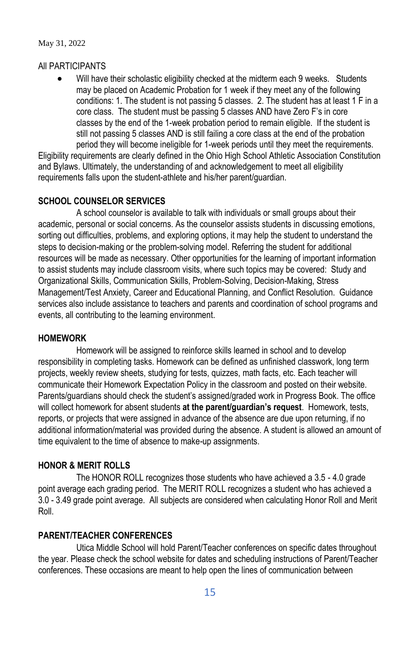#### All PARTICIPANTS

Will have their scholastic eligibility checked at the midterm each 9 weeks. Students may be placed on Academic Probation for 1 week if they meet any of the following conditions: 1. The student is not passing 5 classes. 2. The student has at least 1 F in a core class. The student must be passing 5 classes AND have Zero F's in core classes by the end of the 1-week probation period to remain eligible. If the student is still not passing 5 classes AND is still failing a core class at the end of the probation period they will become ineligible for 1-week periods until they meet the requirements.

Eligibility requirements are clearly defined in the Ohio High School Athletic Association Constitution and Bylaws. Ultimately, the understanding of and acknowledgement to meet all eligibility requirements falls upon the student-athlete and his/her parent/guardian.

## **SCHOOL COUNSELOR SERVICES**

A school counselor is available to talk with individuals or small groups about their academic, personal or social concerns. As the counselor assists students in discussing emotions, sorting out difficulties, problems, and exploring options, it may help the student to understand the steps to decision-making or the problem-solving model. Referring the student for additional resources will be made as necessary. Other opportunities for the learning of important information to assist students may include classroom visits, where such topics may be covered: Study and Organizational Skills, Communication Skills, Problem-Solving, Decision-Making, Stress Management/Test Anxiety, Career and Educational Planning, and Conflict Resolution. Guidance services also include assistance to teachers and parents and coordination of school programs and events, all contributing to the learning environment.

#### **HOMEWORK**

Homework will be assigned to reinforce skills learned in school and to develop responsibility in completing tasks. Homework can be defined as unfinished classwork, long term projects, weekly review sheets, studying for tests, quizzes, math facts, etc. Each teacher will communicate their Homework Expectation Policy in the classroom and posted on their website. Parents/guardians should check the student's assigned/graded work in Progress Book. The office will collect homework for absent students **at the parent/guardian's request**. Homework, tests, reports, or projects that were assigned in advance of the absence are due upon returning, if no additional information/material was provided during the absence. A student is allowed an amount of time equivalent to the time of absence to make-up assignments.

#### **HONOR & MERIT ROLLS**

The HONOR ROLL recognizes those students who have achieved a 3.5 - 4.0 grade point average each grading period. The MERIT ROLL recognizes a student who has achieved a 3.0 - 3.49 grade point average. All subjects are considered when calculating Honor Roll and Merit Roll.

## **PARENT/TEACHER CONFERENCES**

Utica Middle School will hold Parent/Teacher conferences on specific dates throughout the year. Please check the school website for dates and scheduling instructions of Parent/Teacher conferences. These occasions are meant to help open the lines of communication between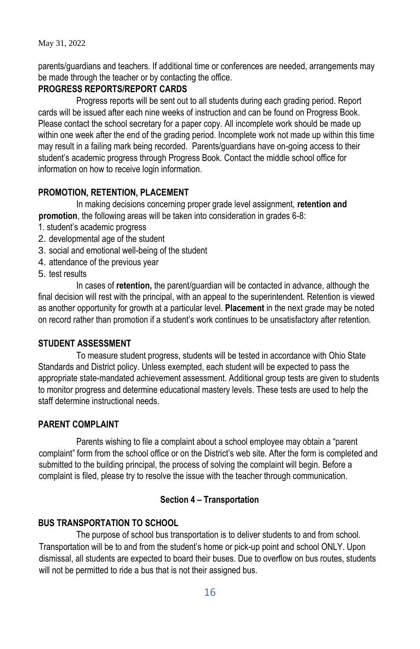parents/guardians and teachers. If additional time or conferences are needed, arrangements may be made through the teacher or by contacting the office.

## **PROGRESS REPORTS/REPORT CARDS**

Progress reports will be sent out to all students during each grading period. Report cards will be issued after each nine weeks of instruction and can be found on Progress Book. Please contact the school secretary for a paper copy. All incomplete work should be made up within one week after the end of the grading period. Incomplete work not made up within this time may result in a failing mark being recorded. Parents/guardians have on-going access to their student's academic progress through Progress Book. Contact the middle school office for information on how to receive login information.

## **PROMOTION, RETENTION, PLACEMENT**

In making decisions concerning proper grade level assignment, **retention and promotion**, the following areas will be taken into consideration in grades 6-8:

- 1. student's academic progress
- 2. developmental age of the student
- 3. social and emotional well-being of the student
- 4. attendance of the previous year
- 5. test results

In cases of **retention,** the parent/guardian will be contacted in advance, although the final decision will rest with the principal, with an appeal to the superintendent. Retention is viewed as another opportunity for growth at a particular level. **Placement** in the next grade may be noted on record rather than promotion if a student's work continues to be unsatisfactory after retention.

#### **STUDENT ASSESSMENT**

To measure student progress, students will be tested in accordance with Ohio State Standards and District policy. Unless exempted, each student will be expected to pass the appropriate state-mandated achievement assessment. Additional group tests are given to students to monitor progress and determine educational mastery levels. These tests are used to help the staff determine instructional needs.

#### **PARENT COMPLAINT**

 Parents wishing to file a complaint about a school employee may obtain a "parent complaint" form from the school office or on the District's web site. After the form is completed and submitted to the building principal, the process of solving the complaint will begin. Before a complaint is filed, please try to resolve the issue with the teacher through communication.

## **Section 4 – Transportation**

## **BUS TRANSPORTATION TO SCHOOL**

The purpose of school bus transportation is to deliver students to and from school. Transportation will be to and from the student's home or pick-up point and school ONLY. Upon dismissal, all students are expected to board their buses. Due to overflow on bus routes, students will not be permitted to ride a bus that is not their assigned bus.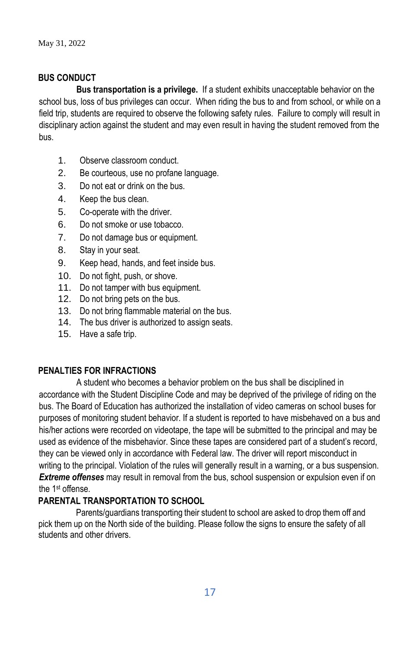## **BUS CONDUCT**

**Bus transportation is a privilege.** If a student exhibits unacceptable behavior on the school bus, loss of bus privileges can occur. When riding the bus to and from school, or while on a field trip, students are required to observe the following safety rules. Failure to comply will result in disciplinary action against the student and may even result in having the student removed from the bus.

- 1. Observe classroom conduct.
- 2. Be courteous, use no profane language.
- 3. Do not eat or drink on the bus.
- 4. Keep the bus clean.
- 5. Co-operate with the driver.
- 6. Do not smoke or use tobacco.
- 7. Do not damage bus or equipment.
- 8. Stay in your seat.
- 9. Keep head, hands, and feet inside bus.
- 10. Do not fight, push, or shove.
- 11. Do not tamper with bus equipment.
- 12. Do not bring pets on the bus.
- 13. Do not bring flammable material on the bus.
- 14. The bus driver is authorized to assign seats.
- 15. Have a safe trip.

## **PENALTIES FOR INFRACTIONS**

A student who becomes a behavior problem on the bus shall be disciplined in accordance with the Student Discipline Code and may be deprived of the privilege of riding on the bus. The Board of Education has authorized the installation of video cameras on school buses for purposes of monitoring student behavior. If a student is reported to have misbehaved on a bus and his/her actions were recorded on videotape, the tape will be submitted to the principal and may be used as evidence of the misbehavior. Since these tapes are considered part of a student's record, they can be viewed only in accordance with Federal law. The driver will report misconduct in writing to the principal. Violation of the rules will generally result in a warning, or a bus suspension. *Extreme offenses* may result in removal from the bus, school suspension or expulsion even if on the 1st offense.

## **PARENTAL TRANSPORTATION TO SCHOOL**

Parents/guardians transporting their student to school are asked to drop them off and pick them up on the North side of the building. Please follow the signs to ensure the safety of all students and other drivers.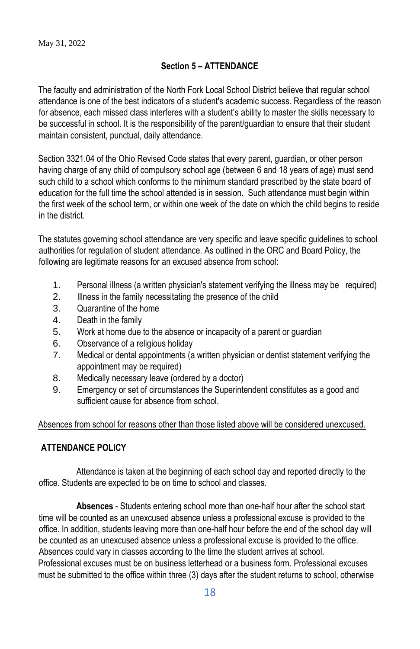# **Section 5 – ATTENDANCE**

The faculty and administration of the North Fork Local School District believe that regular school attendance is one of the best indicators of a student's academic success. Regardless of the reason for absence, each missed class interferes with a student's ability to master the skills necessary to be successful in school. It is the responsibility of the parent/guardian to ensure that their student maintain consistent, punctual, daily attendance.

Section 3321.04 of the Ohio Revised Code states that every parent, guardian, or other person having charge of any child of compulsory school age (between 6 and 18 years of age) must send such child to a school which conforms to the minimum standard prescribed by the state board of education for the full time the school attended is in session. Such attendance must begin within the first week of the school term, or within one week of the date on which the child begins to reside in the district.

The statutes governing school attendance are very specific and leave specific guidelines to school authorities for regulation of student attendance. As outlined in the ORC and Board Policy, the following are legitimate reasons for an excused absence from school:

- 1. Personal illness (a written physician's statement verifying the illness may be required)
- 2. Illness in the family necessitating the presence of the child
- 3. Quarantine of the home
- 4. Death in the family
- 5. Work at home due to the absence or incapacity of a parent or guardian
- 6. Observance of a religious holiday
- 7. Medical or dental appointments (a written physician or dentist statement verifying the appointment may be required)
- 8. Medically necessary leave (ordered by a doctor)
- 9. Emergency or set of circumstances the Superintendent constitutes as a good and sufficient cause for absence from school.

Absences from school for reasons other than those listed above will be considered unexcused.

# **ATTENDANCE POLICY**

Attendance is taken at the beginning of each school day and reported directly to the office. Students are expected to be on time to school and classes.

**Absences** - Students entering school more than one-half hour after the school start time will be counted as an unexcused absence unless a professional excuse is provided to the office. In addition, students leaving more than one-half hour before the end of the school day will be counted as an unexcused absence unless a professional excuse is provided to the office. Absences could vary in classes according to the time the student arrives at school. Professional excuses must be on business letterhead or a business form. Professional excuses must be submitted to the office within three (3) days after the student returns to school, otherwise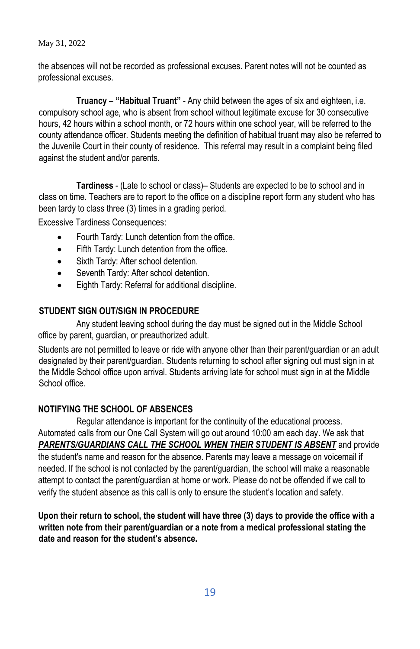the absences will not be recorded as professional excuses. Parent notes will not be counted as professional excuses.

**Truancy** – **"Habitual Truant"** - Any child between the ages of six and eighteen, i.e. compulsory school age, who is absent from school without legitimate excuse for 30 consecutive hours, 42 hours within a school month, or 72 hours within one school year, will be referred to the county attendance officer. Students meeting the definition of habitual truant may also be referred to the Juvenile Court in their county of residence. This referral may result in a complaint being filed against the student and/or parents.

**Tardiness** - (Late to school or class)– Students are expected to be to school and in class on time. Teachers are to report to the office on a discipline report form any student who has been tardy to class three (3) times in a grading period.

Excessive Tardiness Consequences:

- Fourth Tardy: Lunch detention from the office.
- Fifth Tardy: Lunch detention from the office.
- Sixth Tardy: After school detention.
- Seventh Tardy: After school detention.
- Eighth Tardy: Referral for additional discipline.

## **STUDENT SIGN OUT/SIGN IN PROCEDURE**

Any student leaving school during the day must be signed out in the Middle School office by parent, guardian, or preauthorized adult.

Students are not permitted to leave or ride with anyone other than their parent/guardian or an adult designated by their parent/guardian. Students returning to school after signing out must sign in at the Middle School office upon arrival. Students arriving late for school must sign in at the Middle School office.

# **NOTIFYING THE SCHOOL OF ABSENCES**

 Regular attendance is important for the continuity of the educational process. Automated calls from our One Call System will go out around 10:00 am each day. We ask that *PARENTS/GUARDIANS CALL THE SCHOOL WHEN THEIR STUDENT IS ABSENT* and provide the student's name and reason for the absence. Parents may leave a message on voicemail if needed. If the school is not contacted by the parent/guardian, the school will make a reasonable attempt to contact the parent/guardian at home or work. Please do not be offended if we call to verify the student absence as this call is only to ensure the student's location and safety.

**Upon their return to school, the student will have three (3) days to provide the office with a written note from their parent/guardian or a note from a medical professional stating the date and reason for the student's absence.**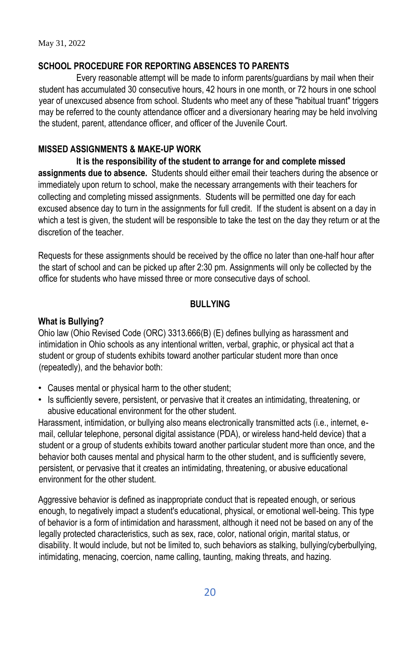## **SCHOOL PROCEDURE FOR REPORTING ABSENCES TO PARENTS**

Every reasonable attempt will be made to inform parents/guardians by mail when their student has accumulated 30 consecutive hours, 42 hours in one month, or 72 hours in one school year of unexcused absence from school. Students who meet any of these "habitual truant" triggers may be referred to the county attendance officer and a diversionary hearing may be held involving the student, parent, attendance officer, and officer of the Juvenile Court.

## **MISSED ASSIGNMENTS & MAKE-UP WORK**

**It is the responsibility of the student to arrange for and complete missed assignments due to absence.** Students should either email their teachers during the absence or immediately upon return to school, make the necessary arrangements with their teachers for collecting and completing missed assignments. Students will be permitted one day for each excused absence day to turn in the assignments for full credit. If the student is absent on a day in which a test is given, the student will be responsible to take the test on the day they return or at the discretion of the teacher.

Requests for these assignments should be received by the office no later than one-half hour after the start of school and can be picked up after 2:30 pm. Assignments will only be collected by the office for students who have missed three or more consecutive days of school.

## **BULLYING**

## **What is Bullying?**

Ohio law (Ohio Revised Code (ORC) 3313.666(B) (E) defines bullying as harassment and intimidation in Ohio schools as any intentional written, verbal, graphic, or physical act that a student or group of students exhibits toward another particular student more than once (repeatedly), and the behavior both:

- Causes mental or physical harm to the other student;
- Is sufficiently severe, persistent, or pervasive that it creates an intimidating, threatening, or abusive educational environment for the other student.

Harassment, intimidation, or bullying also means electronically transmitted acts (i.e., internet, email, cellular telephone, personal digital assistance (PDA), or wireless hand-held device) that a student or a group of students exhibits toward another particular student more than once, and the behavior both causes mental and physical harm to the other student, and is sufficiently severe, persistent, or pervasive that it creates an intimidating, threatening, or abusive educational environment for the other student.

Aggressive behavior is defined as inappropriate conduct that is repeated enough, or serious enough, to negatively impact a student's educational, physical, or emotional well-being. This type of behavior is a form of intimidation and harassment, although it need not be based on any of the legally protected characteristics, such as sex, race, color, national origin, marital status, or disability. It would include, but not be limited to, such behaviors as stalking, bullying/cyberbullying, intimidating, menacing, coercion, name calling, taunting, making threats, and hazing.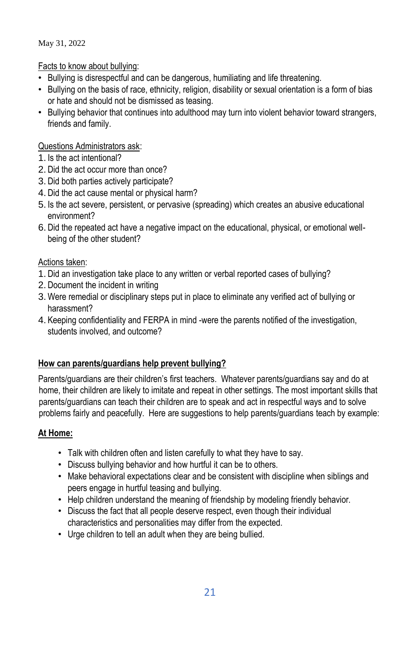Facts to know about bullying:

- Bullying is disrespectful and can be dangerous, humiliating and life threatening.
- Bullying on the basis of race, ethnicity, religion, disability or sexual orientation is a form of bias or hate and should not be dismissed as teasing.
- Bullying behavior that continues into adulthood may turn into violent behavior toward strangers, friends and family.

# Questions Administrators ask:

- 1. Is the act intentional?
- 2. Did the act occur more than once?
- 3. Did both parties actively participate?
- 4. Did the act cause mental or physical harm?
- 5. Is the act severe, persistent, or pervasive (spreading) which creates an abusive educational environment?
- 6. Did the repeated act have a negative impact on the educational, physical, or emotional wellbeing of the other student?

# Actions taken:

- 1. Did an investigation take place to any written or verbal reported cases of bullying?
- 2. Document the incident in writing
- 3. Were remedial or disciplinary steps put in place to eliminate any verified act of bullying or harassment?
- 4. Keeping confidentiality and FERPA in mind -were the parents notified of the investigation, students involved, and outcome?

# **How can parents/guardians help prevent bullying?**

Parents/guardians are their children's first teachers. Whatever parents/guardians say and do at home, their children are likely to imitate and repeat in other settings. The most important skills that parents/guardians can teach their children are to speak and act in respectful ways and to solve problems fairly and peacefully. Here are suggestions to help parents/guardians teach by example:

# **At Home:**

- Talk with children often and listen carefully to what they have to say.
- Discuss bullying behavior and how hurtful it can be to others.
- Make behavioral expectations clear and be consistent with discipline when siblings and peers engage in hurtful teasing and bullying.
- Help children understand the meaning of friendship by modeling friendly behavior.
- Discuss the fact that all people deserve respect, even though their individual characteristics and personalities may differ from the expected.
- Urge children to tell an adult when they are being bullied.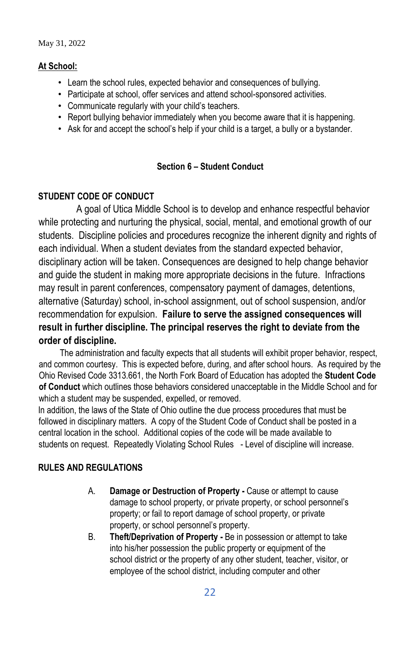## **At School:**

- Learn the school rules, expected behavior and consequences of bullying.
- Participate at school, offer services and attend school-sponsored activities.
- Communicate regularly with your child's teachers.
- Report bullying behavior immediately when you become aware that it is happening.
- Ask for and accept the school's help if your child is a target, a bully or a bystander.

## **Section 6 – Student Conduct**

## **STUDENT CODE OF CONDUCT**

A goal of Utica Middle School is to develop and enhance respectful behavior while protecting and nurturing the physical, social, mental, and emotional growth of our students. Discipline policies and procedures recognize the inherent dignity and rights of each individual. When a student deviates from the standard expected behavior, disciplinary action will be taken. Consequences are designed to help change behavior and guide the student in making more appropriate decisions in the future. Infractions may result in parent conferences, compensatory payment of damages, detentions, alternative (Saturday) school, in-school assignment, out of school suspension, and/or recommendation for expulsion. **Failure to serve the assigned consequences will result in further discipline. The principal reserves the right to deviate from the order of discipline.** 

 The administration and faculty expects that all students will exhibit proper behavior, respect, and common courtesy. This is expected before, during, and after school hours. As required by the Ohio Revised Code 3313.661, the North Fork Board of Education has adopted the **Student Code of Conduct** which outlines those behaviors considered unacceptable in the Middle School and for which a student may be suspended, expelled, or removed.

In addition, the laws of the State of Ohio outline the due process procedures that must be followed in disciplinary matters. A copy of the Student Code of Conduct shall be posted in a central location in the school. Additional copies of the code will be made available to students on request. Repeatedly Violating School Rules - Level of discipline will increase.

## **RULES AND REGULATIONS**

- A. **Damage or Destruction of Property -** Cause or attempt to cause damage to school property, or private property, or school personnel's property; or fail to report damage of school property, or private property, or school personnel's property.
- B. **Theft/Deprivation of Property -** Be in possession or attempt to take into his/her possession the public property or equipment of the school district or the property of any other student, teacher, visitor, or employee of the school district, including computer and other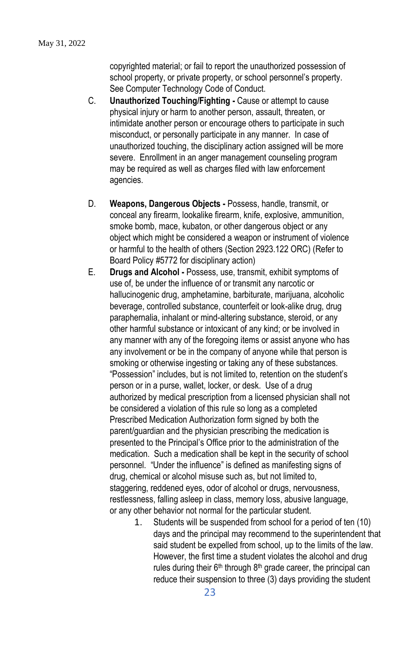copyrighted material; or fail to report the unauthorized possession of school property, or private property, or school personnel's property. See Computer Technology Code of Conduct.

- C. **Unauthorized Touching/Fighting -** Cause or attempt to cause physical injury or harm to another person, assault, threaten, or intimidate another person or encourage others to participate in such misconduct, or personally participate in any manner. In case of unauthorized touching, the disciplinary action assigned will be more severe. Enrollment in an anger management counseling program may be required as well as charges filed with law enforcement agencies.
- D. **Weapons, Dangerous Objects -** Possess, handle, transmit, or conceal any firearm, lookalike firearm, knife, explosive, ammunition, smoke bomb, mace, kubaton, or other dangerous object or any object which might be considered a weapon or instrument of violence or harmful to the health of others (Section 2923.122 ORC) (Refer to Board Policy #5772 for disciplinary action)
- E. **Drugs and Alcohol -** Possess, use, transmit, exhibit symptoms of use of, be under the influence of or transmit any narcotic or hallucinogenic drug, amphetamine, barbiturate, marijuana, alcoholic beverage, controlled substance, counterfeit or look-alike drug, drug paraphernalia, inhalant or mind-altering substance, steroid, or any other harmful substance or intoxicant of any kind; or be involved in any manner with any of the foregoing items or assist anyone who has any involvement or be in the company of anyone while that person is smoking or otherwise ingesting or taking any of these substances. "Possession" includes, but is not limited to, retention on the student's person or in a purse, wallet, locker, or desk. Use of a drug authorized by medical prescription from a licensed physician shall not be considered a violation of this rule so long as a completed Prescribed Medication Authorization form signed by both the parent/guardian and the physician prescribing the medication is presented to the Principal's Office prior to the administration of the medication. Such a medication shall be kept in the security of school personnel. "Under the influence" is defined as manifesting signs of drug, chemical or alcohol misuse such as, but not limited to, staggering, reddened eyes, odor of alcohol or drugs, nervousness, restlessness, falling asleep in class, memory loss, abusive language, or any other behavior not normal for the particular student.
	- 1. Students will be suspended from school for a period of ten (10) days and the principal may recommend to the superintendent that said student be expelled from school, up to the limits of the law. However, the first time a student violates the alcohol and drug rules during their 6<sup>th</sup> through 8<sup>th</sup> grade career, the principal can reduce their suspension to three (3) days providing the student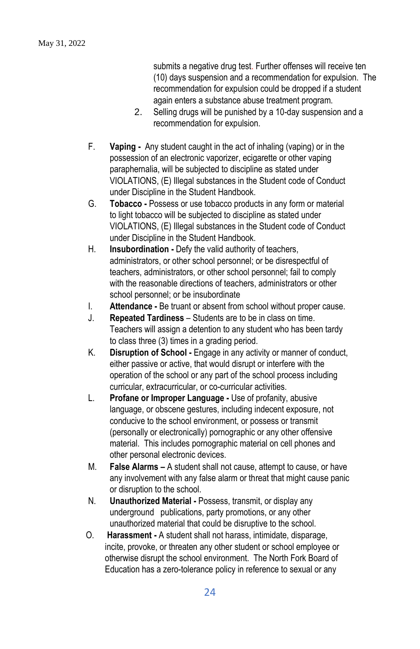submits a negative drug test. Further offenses will receive ten (10) days suspension and a recommendation for expulsion. The recommendation for expulsion could be dropped if a student again enters a substance abuse treatment program.

- 2. Selling drugs will be punished by a 10-day suspension and a recommendation for expulsion.
- F. **Vaping -** Any student caught in the act of inhaling (vaping) or in the possession of an electronic vaporizer, ecigarette or other vaping paraphernalia, will be subjected to discipline as stated under VIOLATIONS, (E) Illegal substances in the Student code of Conduct under Discipline in the Student Handbook.
- G. **Tobacco -** Possess or use tobacco products in any form or material to light tobacco will be subjected to discipline as stated under VIOLATIONS, (E) Illegal substances in the Student code of Conduct under Discipline in the Student Handbook.
- H. **Insubordination -** Defy the valid authority of teachers, administrators, or other school personnel; or be disrespectful of teachers, administrators, or other school personnel; fail to comply with the reasonable directions of teachers, administrators or other school personnel; or be insubordinate
- I. **Attendance -** Be truant or absent from school without proper cause.
- J. **Repeated Tardiness** Students are to be in class on time. Teachers will assign a detention to any student who has been tardy to class three (3) times in a grading period.
- K. **Disruption of School -** Engage in any activity or manner of conduct, either passive or active, that would disrupt or interfere with the operation of the school or any part of the school process including curricular, extracurricular, or co-curricular activities.
- L. **Profane or Improper Language -** Use of profanity, abusive language, or obscene gestures, including indecent exposure, not conducive to the school environment, or possess or transmit (personally or electronically) pornographic or any other offensive material. This includes pornographic material on cell phones and other personal electronic devices.
- M. **False Alarms –** A student shall not cause, attempt to cause, or have any involvement with any false alarm or threat that might cause panic or disruption to the school.
- N. **Unauthorized Material -** Possess, transmit, or display any underground publications, party promotions, or any other unauthorized material that could be disruptive to the school.
- O. **Harassment -** A student shall not harass, intimidate, disparage, incite, provoke, or threaten any other student or school employee or otherwise disrupt the school environment. The North Fork Board of Education has a zero-tolerance policy in reference to sexual or any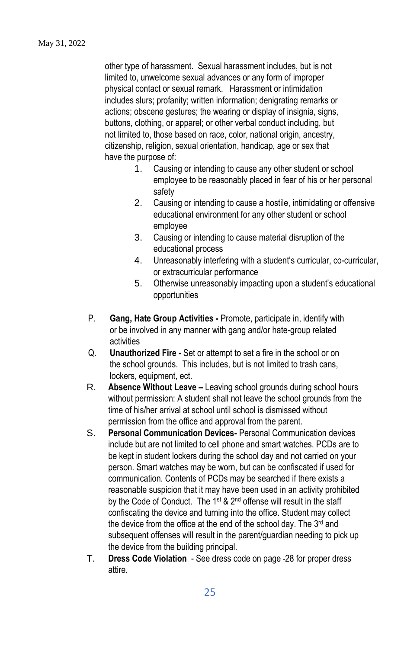other type of harassment. Sexual harassment includes, but is not limited to, unwelcome sexual advances or any form of improper physical contact or sexual remark. Harassment or intimidation includes slurs; profanity; written information; denigrating remarks or actions; obscene gestures; the wearing or display of insignia, signs, buttons, clothing, or apparel; or other verbal conduct including, but not limited to, those based on race, color, national origin, ancestry, citizenship, religion, sexual orientation, handicap, age or sex that have the purpose of:

- 1. Causing or intending to cause any other student or school employee to be reasonably placed in fear of his or her personal safety
- 2. Causing or intending to cause a hostile, intimidating or offensive educational environment for any other student or school employee
- 3. Causing or intending to cause material disruption of the educational process
- 4. Unreasonably interfering with a student's curricular, co-curricular, or extracurricular performance
- 5. Otherwise unreasonably impacting upon a student's educational opportunities
- P. **Gang, Hate Group Activities -** Promote, participate in, identify with or be involved in any manner with gang and/or hate-group related activities
- Q. **Unauthorized Fire -** Set or attempt to set a fire in the school or on the school grounds. This includes, but is not limited to trash cans, lockers, equipment, ect.
- R. **Absence Without Leave –** Leaving school grounds during school hours without permission: A student shall not leave the school grounds from the time of his/her arrival at school until school is dismissed without permission from the office and approval from the parent.
- S. **Personal Communication Devices-** Personal Communication devices include but are not limited to cell phone and smart watches. PCDs are to be kept in student lockers during the school day and not carried on your person. Smart watches may be worn, but can be confiscated if used for communication. Contents of PCDs may be searched if there exists a reasonable suspicion that it may have been used in an activity prohibited by the Code of Conduct. The 1<sup>st</sup> & 2<sup>nd</sup> offense will result in the staff confiscating the device and turning into the office. Student may collect the device from the office at the end of the school day. The 3<sup>rd</sup> and subsequent offenses will result in the parent/guardian needing to pick up the device from the building principal.
- T. **Dress Code Violation** See dress code on page 28 for proper dress attire.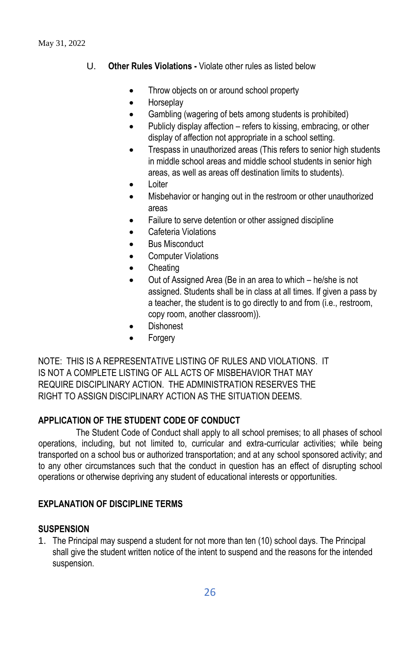- U. **Other Rules Violations -** Violate other rules as listed below
	- Throw objects on or around school property
	- Horseplay
	- Gambling (wagering of bets among students is prohibited)
	- Publicly display affection refers to kissing, embracing, or other display of affection not appropriate in a school setting.
	- Trespass in unauthorized areas (This refers to senior high students in middle school areas and middle school students in senior high areas, as well as areas off destination limits to students).
	- Loiter
	- Misbehavior or hanging out in the restroom or other unauthorized areas
	- Failure to serve detention or other assigned discipline
	- Cafeteria Violations
	- Bus Misconduct
	- **Computer Violations**
	- **Cheating**
	- Out of Assigned Area (Be in an area to which he/she is not assigned. Students shall be in class at all times. If given a pass by a teacher, the student is to go directly to and from (i.e., restroom, copy room, another classroom)).
	- **Dishonest**
	- **Forgery**

NOTE: THIS IS A REPRESENTATIVE LISTING OF RULES AND VIOLATIONS. IT IS NOT A COMPLETE LISTING OF ALL ACTS OF MISBEHAVIOR THAT MAY REQUIRE DISCIPLINARY ACTION. THE ADMINISTRATION RESERVES THE RIGHT TO ASSIGN DISCIPLINARY ACTION AS THE SITUATION DEEMS.

## **APPLICATION OF THE STUDENT CODE OF CONDUCT**

The Student Code of Conduct shall apply to all school premises; to all phases of school operations, including, but not limited to, curricular and extra-curricular activities; while being transported on a school bus or authorized transportation; and at any school sponsored activity; and to any other circumstances such that the conduct in question has an effect of disrupting school operations or otherwise depriving any student of educational interests or opportunities.

## **EXPLANATION OF DISCIPLINE TERMS**

## **SUSPENSION**

1. The Principal may suspend a student for not more than ten (10) school days. The Principal shall give the student written notice of the intent to suspend and the reasons for the intended suspension.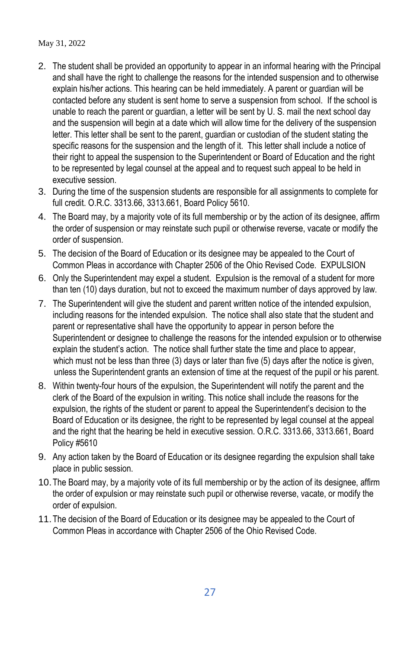- 2. The student shall be provided an opportunity to appear in an informal hearing with the Principal and shall have the right to challenge the reasons for the intended suspension and to otherwise explain his/her actions. This hearing can be held immediately. A parent or guardian will be contacted before any student is sent home to serve a suspension from school. If the school is unable to reach the parent or guardian, a letter will be sent by U. S. mail the next school day and the suspension will begin at a date which will allow time for the delivery of the suspension letter. This letter shall be sent to the parent, guardian or custodian of the student stating the specific reasons for the suspension and the length of it. This letter shall include a notice of their right to appeal the suspension to the Superintendent or Board of Education and the right to be represented by legal counsel at the appeal and to request such appeal to be held in executive session.
- 3. During the time of the suspension students are responsible for all assignments to complete for full credit. O.R.C. 3313.66, 3313.661, Board Policy 5610.
- 4. The Board may, by a majority vote of its full membership or by the action of its designee, affirm the order of suspension or may reinstate such pupil or otherwise reverse, vacate or modify the order of suspension.
- 5. The decision of the Board of Education or its designee may be appealed to the Court of Common Pleas in accordance with Chapter 2506 of the Ohio Revised Code. EXPULSION
- 6. Only the Superintendent may expel a student. Expulsion is the removal of a student for more than ten (10) days duration, but not to exceed the maximum number of days approved by law.
- 7. The Superintendent will give the student and parent written notice of the intended expulsion, including reasons for the intended expulsion. The notice shall also state that the student and parent or representative shall have the opportunity to appear in person before the Superintendent or designee to challenge the reasons for the intended expulsion or to otherwise explain the student's action. The notice shall further state the time and place to appear, which must not be less than three (3) days or later than five (5) days after the notice is given, unless the Superintendent grants an extension of time at the request of the pupil or his parent.
- 8. Within twenty-four hours of the expulsion, the Superintendent will notify the parent and the clerk of the Board of the expulsion in writing. This notice shall include the reasons for the expulsion, the rights of the student or parent to appeal the Superintendent's decision to the Board of Education or its designee, the right to be represented by legal counsel at the appeal and the right that the hearing be held in executive session. O.R.C. 3313.66, 3313.661, Board Policy #5610
- 9. Any action taken by the Board of Education or its designee regarding the expulsion shall take place in public session.
- 10.The Board may, by a majority vote of its full membership or by the action of its designee, affirm the order of expulsion or may reinstate such pupil or otherwise reverse, vacate, or modify the order of expulsion.
- 11.The decision of the Board of Education or its designee may be appealed to the Court of Common Pleas in accordance with Chapter 2506 of the Ohio Revised Code.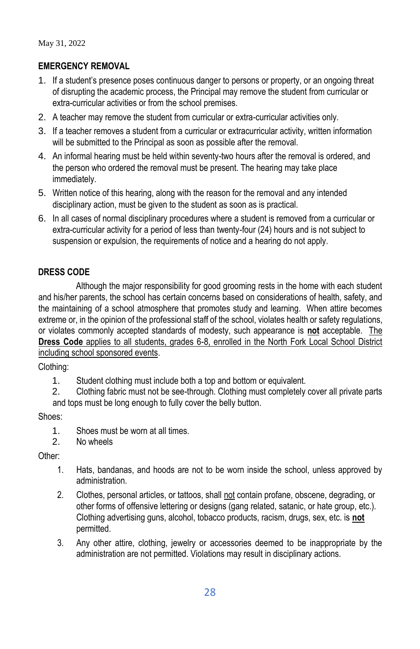# **EMERGENCY REMOVAL**

- 1. If a student's presence poses continuous danger to persons or property, or an ongoing threat of disrupting the academic process, the Principal may remove the student from curricular or extra-curricular activities or from the school premises.
- 2. A teacher may remove the student from curricular or extra-curricular activities only.
- 3. If a teacher removes a student from a curricular or extracurricular activity, written information will be submitted to the Principal as soon as possible after the removal.
- 4. An informal hearing must be held within seventy-two hours after the removal is ordered, and the person who ordered the removal must be present. The hearing may take place immediately.
- 5. Written notice of this hearing, along with the reason for the removal and any intended disciplinary action, must be given to the student as soon as is practical.
- 6. In all cases of normal disciplinary procedures where a student is removed from a curricular or extra-curricular activity for a period of less than twenty-four (24) hours and is not subject to suspension or expulsion, the requirements of notice and a hearing do not apply.

## **DRESS CODE**

Although the major responsibility for good grooming rests in the home with each student and his/her parents, the school has certain concerns based on considerations of health, safety, and the maintaining of a school atmosphere that promotes study and learning. When attire becomes extreme or, in the opinion of the professional staff of the school, violates health or safety regulations, or violates commonly accepted standards of modesty, such appearance is **not** acceptable. The **Dress Code** applies to all students, grades 6-8, enrolled in the North Fork Local School District including school sponsored events.

Clothing:

1. Student clothing must include both a top and bottom or equivalent.

2. Clothing fabric must not be see-through. Clothing must completely cover all private parts and tops must be long enough to fully cover the belly button.

Shoes:

1. Shoes must be worn at all times.

2. No wheels

Other:

- 1. Hats, bandanas, and hoods are not to be worn inside the school, unless approved by administration.
- 2. Clothes, personal articles, or tattoos, shall not contain profane, obscene, degrading, or other forms of offensive lettering or designs (gang related, satanic, or hate group, etc.). Clothing advertising guns, alcohol, tobacco products, racism, drugs, sex, etc. is **not** permitted.
- 3. Any other attire, clothing, jewelry or accessories deemed to be inappropriate by the administration are not permitted. Violations may result in disciplinary actions.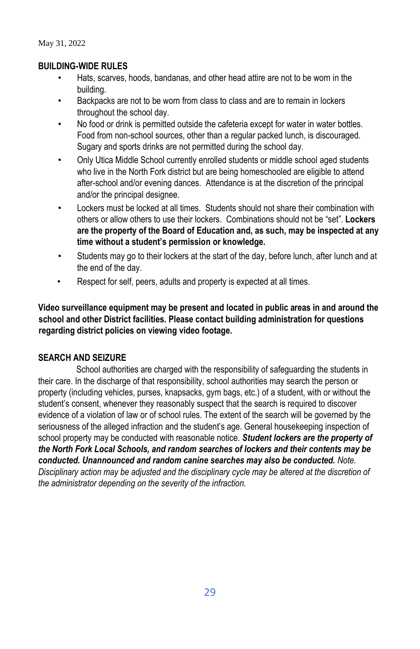## **BUILDING-WIDE RULES**

- Hats, scarves, hoods, bandanas, and other head attire are not to be worn in the building.
- Backpacks are not to be worn from class to class and are to remain in lockers throughout the school day.
- No food or drink is permitted outside the cafeteria except for water in water bottles. Food from non-school sources, other than a regular packed lunch, is discouraged. Sugary and sports drinks are not permitted during the school day.
- Only Utica Middle School currently enrolled students or middle school aged students who live in the North Fork district but are being homeschooled are eligible to attend after-school and/or evening dances. Attendance is at the discretion of the principal and/or the principal designee.
- Lockers must be locked at all times. Students should not share their combination with others or allow others to use their lockers. Combinations should not be "set". **Lockers are the property of the Board of Education and, as such, may be inspected at any time without a student's permission or knowledge.**
- Students may go to their lockers at the start of the day, before lunch, after lunch and at the end of the day.
- Respect for self, peers, adults and property is expected at all times.

**Video surveillance equipment may be present and located in public areas in and around the school and other District facilities. Please contact building administration for questions regarding district policies on viewing video footage.** 

## **SEARCH AND SEIZURE**

School authorities are charged with the responsibility of safeguarding the students in their care. In the discharge of that responsibility, school authorities may search the person or property (including vehicles, purses, knapsacks, gym bags, etc.) of a student, with or without the student's consent, whenever they reasonably suspect that the search is required to discover evidence of a violation of law or of school rules. The extent of the search will be governed by the seriousness of the alleged infraction and the student's age. General housekeeping inspection of school property may be conducted with reasonable notice. *Student lockers are the property of the North Fork Local Schools, and random searches of lockers and their contents may be conducted. Unannounced and random canine searches may also be conducted. Note.* 

*Disciplinary action may be adjusted and the disciplinary cycle may be altered at the discretion of the administrator depending on the severity of the infraction.*